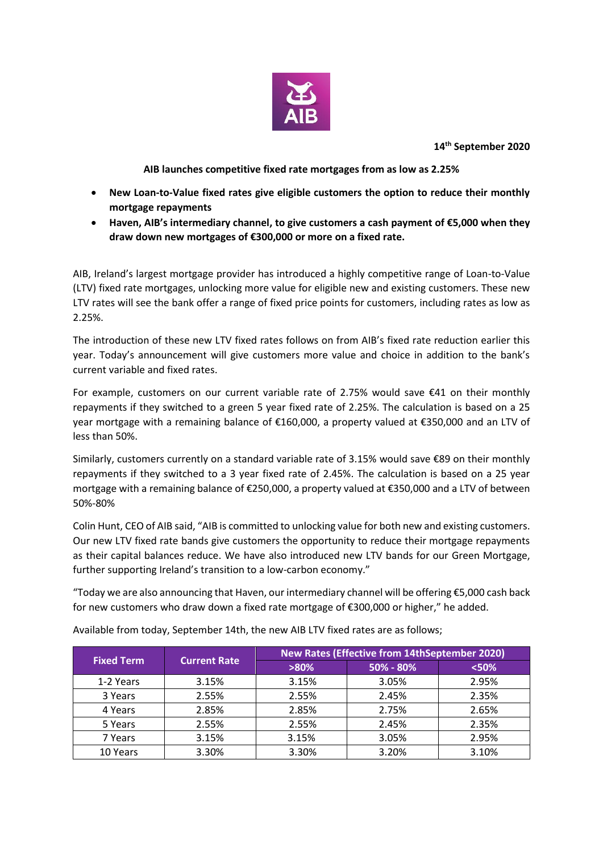

**14th September 2020**

## **AIB launches competitive fixed rate mortgages from as low as 2.25%**

- **New Loan-to-Value fixed rates give eligible customers the option to reduce their monthly mortgage repayments**
- **Haven, AIB's intermediary channel, to give customers a cash payment of €5,000 when they draw down new mortgages of €300,000 or more on a fixed rate.**

AIB, Ireland's largest mortgage provider has introduced a highly competitive range of Loan-to-Value (LTV) fixed rate mortgages, unlocking more value for eligible new and existing customers. These new LTV rates will see the bank offer a range of fixed price points for customers, including rates as low as 2.25%.

The introduction of these new LTV fixed rates follows on from AIB's fixed rate reduction earlier this year. Today's announcement will give customers more value and choice in addition to the bank's current variable and fixed rates.

For example, customers on our current variable rate of 2.75% would save €41 on their monthly repayments if they switched to a green 5 year fixed rate of 2.25%. The calculation is based on a 25 year mortgage with a remaining balance of €160,000, a property valued at €350,000 and an LTV of less than 50%.

Similarly, customers currently on a standard variable rate of 3.15% would save €89 on their monthly repayments if they switched to a 3 year fixed rate of 2.45%. The calculation is based on a 25 year mortgage with a remaining balance of €250,000, a property valued at €350,000 and a LTV of between 50%-80%

Colin Hunt, CEO of AIB said, "AIB is committed to unlocking value for both new and existing customers. Our new LTV fixed rate bands give customers the opportunity to reduce their mortgage repayments as their capital balances reduce. We have also introduced new LTV bands for our Green Mortgage, further supporting Ireland's transition to a low-carbon economy."

"Today we are also announcing that Haven, our intermediary channel will be offering €5,000 cash back for new customers who draw down a fixed rate mortgage of €300,000 or higher," he added.

| <b>Fixed Term</b> | <b>Current Rate</b> | <b>New Rates (Effective from 14thSeptember 2020)</b> |           |         |
|-------------------|---------------------|------------------------------------------------------|-----------|---------|
|                   |                     | $>80\%$                                              | 50% - 80% | $<$ 50% |
| 1-2 Years         | 3.15%               | 3.15%                                                | 3.05%     | 2.95%   |
| 3 Years           | 2.55%               | 2.55%                                                | 2.45%     | 2.35%   |
| 4 Years           | 2.85%               | 2.85%                                                | 2.75%     | 2.65%   |
| 5 Years           | 2.55%               | 2.55%                                                | 2.45%     | 2.35%   |
| 7 Years           | 3.15%               | 3.15%                                                | 3.05%     | 2.95%   |
| 10 Years          | 3.30%               | 3.30%                                                | 3.20%     | 3.10%   |

Available from today, September 14th, the new AIB LTV fixed rates are as follows;